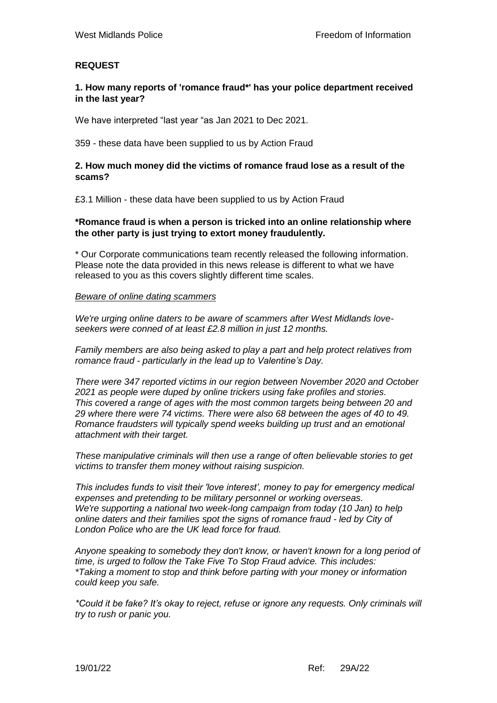# **REQUEST**

## **1. How many reports of 'romance fraud\*' has your police department received in the last year?**

We have interpreted "last year "as Jan 2021 to Dec 2021.

359 - these data have been supplied to us by Action Fraud

## **2. How much money did the victims of romance fraud lose as a result of the scams?**

£3.1 Million - these data have been supplied to us by Action Fraud

# **\*Romance fraud is when a person is tricked into an online relationship where the other party is just trying to extort money fraudulently.**

\* Our Corporate communications team recently released the following information. Please note the data provided in this news release is different to what we have released to you as this covers slightly different time scales.

## *Beware of online dating scammers*

*We're urging online daters to be aware of scammers after West Midlands loveseekers were conned of at least £2.8 million in just 12 months.*

*Family members are also being asked to play a part and help protect relatives from romance fraud - particularly in the lead up to Valentine's Day.* 

*There were 347 reported victims in our region between November 2020 and October 2021 as people were duped by online trickers using fake profiles and stories. This covered a range of ages with the most common targets being between 20 and 29 where there were 74 victims. There were also 68 between the ages of 40 to 49. Romance fraudsters will typically spend weeks building up trust and an emotional attachment with their target.* 

*These manipulative criminals will then use a range of often believable stories to get victims to transfer them money without raising suspicion.* 

*This includes funds to visit their 'love interest', money to pay for emergency medical expenses and pretending to be military personnel or working overseas. We're supporting a national two week-long campaign from today (10 Jan) to help online daters and their families spot the signs of romance fraud - led by City of London Police who are the UK lead force for fraud.*

*Anyone speaking to somebody they don't know, or haven't known for a long period of time, is urged to follow the Take Five To Stop Fraud advice. This includes: \*Taking a moment to stop and think before parting with your money or information could keep you safe.*

*\*Could it be fake? It's okay to reject, refuse or ignore any requests. Only criminals will try to rush or panic you.*